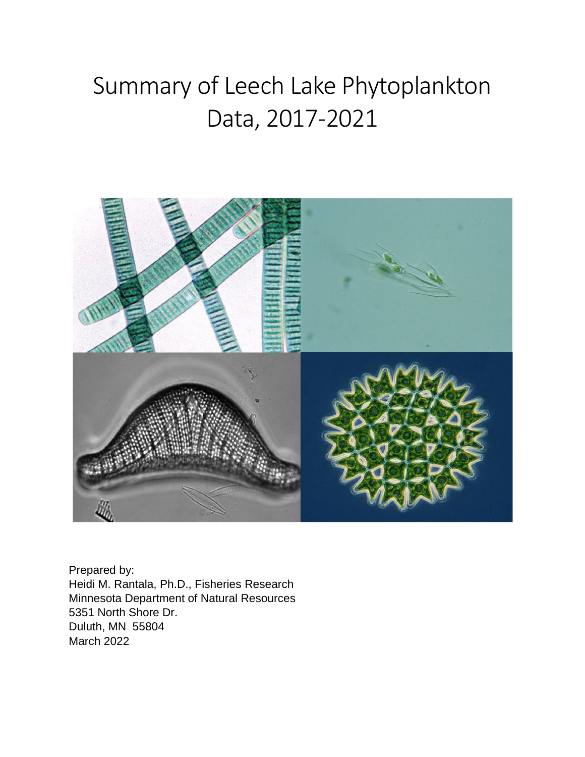# Summary of Leech Lake Phytoplankton Data, 2017-2021



Prepared by: Heidi M. Rantala, Ph.D., Fisheries Research Minnesota Department of Natural Resources 5351 North Shore Dr. Duluth, MN 55804 March 2022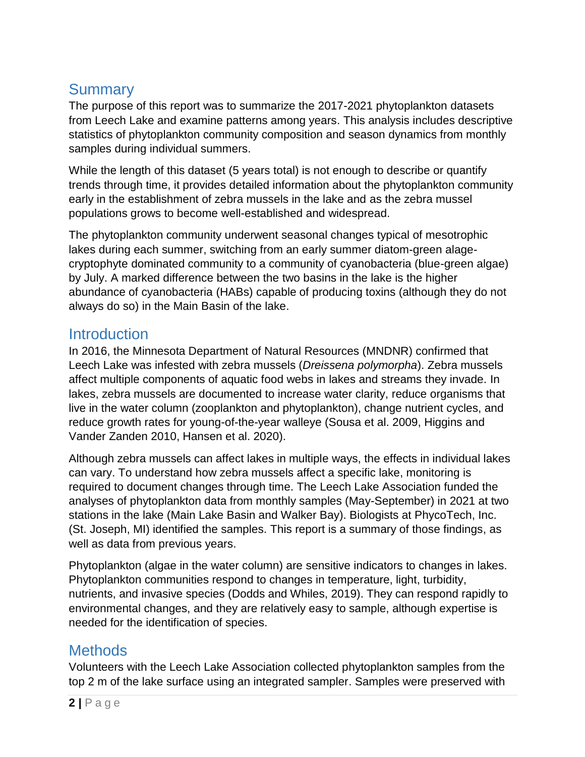# **Summary**

The purpose of this report was to summarize the 2017-2021 phytoplankton datasets from Leech Lake and examine patterns among years. This analysis includes descriptive statistics of phytoplankton community composition and season dynamics from monthly samples during individual summers.

While the length of this dataset (5 years total) is not enough to describe or quantify trends through time, it provides detailed information about the phytoplankton community early in the establishment of zebra mussels in the lake and as the zebra mussel populations grows to become well-established and widespread.

The phytoplankton community underwent seasonal changes typical of mesotrophic lakes during each summer, switching from an early summer diatom-green alagecryptophyte dominated community to a community of cyanobacteria (blue-green algae) by July. A marked difference between the two basins in the lake is the higher abundance of cyanobacteria (HABs) capable of producing toxins (although they do not always do so) in the Main Basin of the lake.

#### **Introduction**

In 2016, the Minnesota Department of Natural Resources (MNDNR) confirmed that Leech Lake was infested with zebra mussels (*Dreissena polymorpha*). Zebra mussels affect multiple components of aquatic food webs in lakes and streams they invade. In lakes, zebra mussels are documented to increase water clarity, reduce organisms that live in the water column (zooplankton and phytoplankton), change nutrient cycles, and reduce growth rates for young-of-the-year walleye (Sousa et al. 2009, Higgins and Vander Zanden 2010, Hansen et al. 2020).

Although zebra mussels can affect lakes in multiple ways, the effects in individual lakes can vary. To understand how zebra mussels affect a specific lake, monitoring is required to document changes through time. The Leech Lake Association funded the analyses of phytoplankton data from monthly samples (May-September) in 2021 at two stations in the lake (Main Lake Basin and Walker Bay). Biologists at PhycoTech, Inc. (St. Joseph, MI) identified the samples. This report is a summary of those findings, as well as data from previous years.

Phytoplankton (algae in the water column) are sensitive indicators to changes in lakes. Phytoplankton communities respond to changes in temperature, light, turbidity, nutrients, and invasive species (Dodds and Whiles, 2019). They can respond rapidly to environmental changes, and they are relatively easy to sample, although expertise is needed for the identification of species.

### **Methods**

Volunteers with the Leech Lake Association collected phytoplankton samples from the top 2 m of the lake surface using an integrated sampler. Samples were preserved with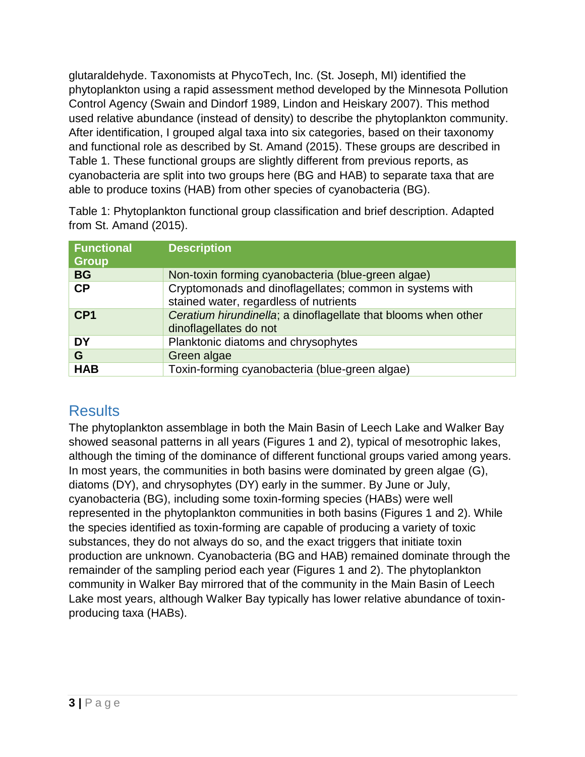glutaraldehyde. Taxonomists at PhycoTech, Inc. (St. Joseph, MI) identified the phytoplankton using a rapid assessment method developed by the Minnesota Pollution Control Agency (Swain and Dindorf 1989, Lindon and Heiskary 2007). This method used relative abundance (instead of density) to describe the phytoplankton community. After identification, I grouped algal taxa into six categories, based on their taxonomy and functional role as described by St. Amand (2015). These groups are described in Table 1. These functional groups are slightly different from previous reports, as cyanobacteria are split into two groups here (BG and HAB) to separate taxa that are able to produce toxins (HAB) from other species of cyanobacteria (BG).

Table 1: Phytoplankton functional group classification and brief description. Adapted from St. Amand (2015).

| <b>Functional</b><br><b>Group</b> | <b>Description</b>                                                                                 |
|-----------------------------------|----------------------------------------------------------------------------------------------------|
| <b>BG</b>                         | Non-toxin forming cyanobacteria (blue-green algae)                                                 |
| <b>CP</b>                         | Cryptomonads and dinoflagellates; common in systems with<br>stained water, regardless of nutrients |
| CP <sub>1</sub>                   | Ceratium hirundinella; a dinoflagellate that blooms when other<br>dinoflagellates do not           |
| DY                                | Planktonic diatoms and chrysophytes                                                                |
| G                                 | Green algae                                                                                        |
| <b>HAB</b>                        | Toxin-forming cyanobacteria (blue-green algae)                                                     |

## **Results**

The phytoplankton assemblage in both the Main Basin of Leech Lake and Walker Bay showed seasonal patterns in all years (Figures 1 and 2), typical of mesotrophic lakes, although the timing of the dominance of different functional groups varied among years. In most years, the communities in both basins were dominated by green algae (G), diatoms (DY), and chrysophytes (DY) early in the summer. By June or July, cyanobacteria (BG), including some toxin-forming species (HABs) were well represented in the phytoplankton communities in both basins (Figures 1 and 2). While the species identified as toxin-forming are capable of producing a variety of toxic substances, they do not always do so, and the exact triggers that initiate toxin production are unknown. Cyanobacteria (BG and HAB) remained dominate through the remainder of the sampling period each year (Figures 1 and 2). The phytoplankton community in Walker Bay mirrored that of the community in the Main Basin of Leech Lake most years, although Walker Bay typically has lower relative abundance of toxinproducing taxa (HABs).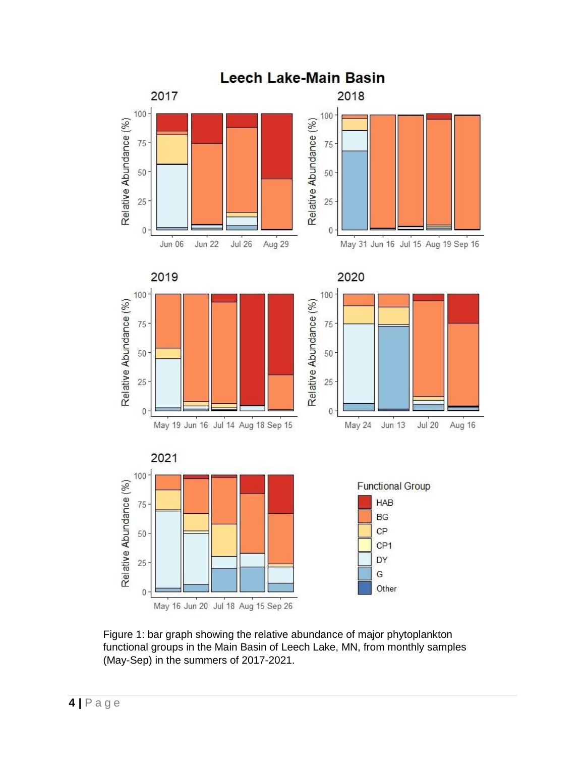

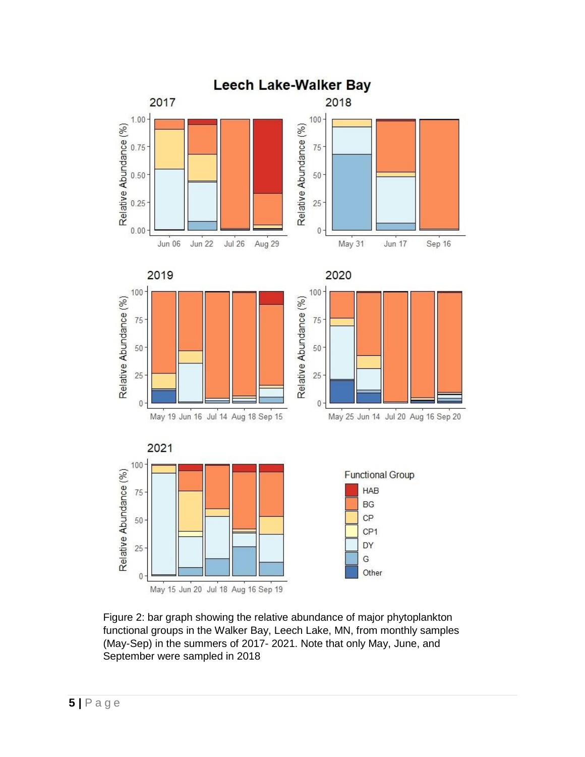

Figure 2: bar graph showing the relative abundance of major phytoplankton functional groups in the Walker Bay, Leech Lake, MN, from monthly samples (May-Sep) in the summers of 2017- 2021. Note that only May, June, and September were sampled in 2018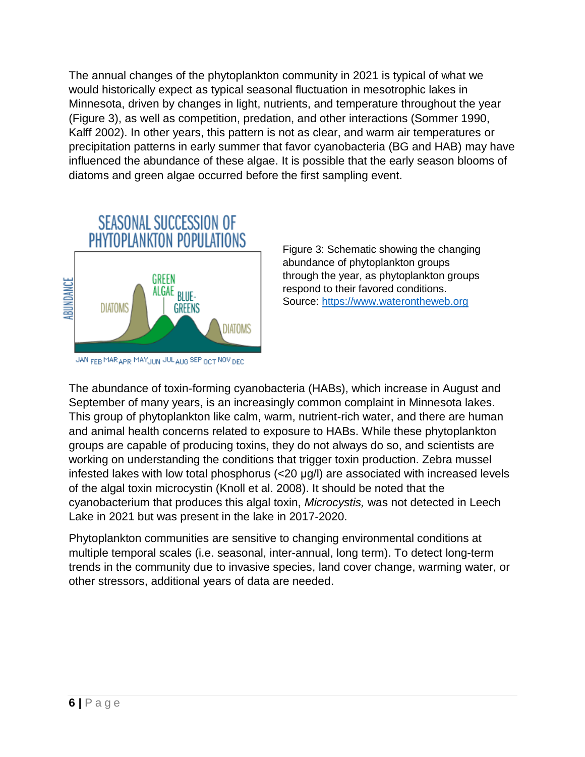The annual changes of the phytoplankton community in 2021 is typical of what we would historically expect as typical seasonal fluctuation in mesotrophic lakes in Minnesota, driven by changes in light, nutrients, and temperature throughout the year (Figure 3), as well as competition, predation, and other interactions (Sommer 1990, Kalff 2002). In other years, this pattern is not as clear, and warm air temperatures or precipitation patterns in early summer that favor cyanobacteria (BG and HAB) may have influenced the abundance of these algae. It is possible that the early season blooms of diatoms and green algae occurred before the first sampling event.



Figure 3: Schematic showing the changing abundance of phytoplankton groups through the year, as phytoplankton groups respond to their favored conditions. Source: [https://www.waterontheweb.org](https://www.waterontheweb.org/under/lakeecology/14_algalsuccession.html)

JAN FEB MAR APRIMAYJUN JULAUG SEP OCT NOVIDED.

The abundance of toxin-forming cyanobacteria (HABs), which increase in August and September of many years, is an increasingly common complaint in Minnesota lakes. This group of phytoplankton like calm, warm, nutrient-rich water, and there are human and animal health concerns related to exposure to HABs. While these phytoplankton groups are capable of producing toxins, they do not always do so, and scientists are working on understanding the conditions that trigger toxin production. Zebra mussel infested lakes with low total phosphorus (<20 μg/l) are associated with increased levels of the algal toxin microcystin (Knoll et al. 2008). It should be noted that the cyanobacterium that produces this algal toxin, *Microcystis,* was not detected in Leech Lake in 2021 but was present in the lake in 2017-2020.

Phytoplankton communities are sensitive to changing environmental conditions at multiple temporal scales (i.e. seasonal, inter-annual, long term). To detect long-term trends in the community due to invasive species, land cover change, warming water, or other stressors, additional years of data are needed.